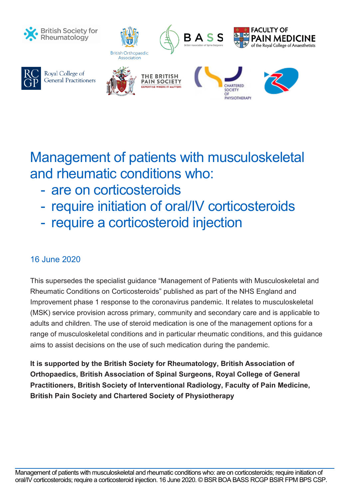

Royal College of

**General Practitioners** 



# Management of patients with musculoskeletal and rheumatic conditions who:

- are on corticosteroids
- require initiation of oral/IV corticosteroids
- require a corticosteroid injection

# 16 June 2020

This supersedes the specialist guidance "Management of Patients with Musculoskeletal and Rheumatic Conditions on Corticosteroids" published as part of the NHS England and Improvement phase 1 response to the coronavirus pandemic. It relates to musculoskeletal (MSK) service provision across primary, community and secondary care and is applicable to adults and children. The use of steroid medication is one of the management options for a range of musculoskeletal conditions and in particular rheumatic conditions, and this guidance aims to assist decisions on the use of such medication during the pandemic.

**It is supported by the British Society for Rheumatology, British Association of Orthopaedics, British Association of Spinal Surgeons, Royal College of General Practitioners, British Society of Interventional Radiology, Faculty of Pain Medicine, British Pain Society and Chartered Society of Physiotherapy**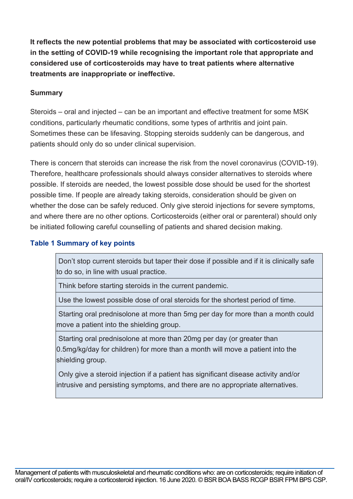**It reflects the new potential problems that may be associated with corticosteroid use in the setting of COVID-19 while recognising the important role that appropriate and considered use of corticosteroids may have to treat patients where alternative treatments are inappropriate or ineffective.**

#### **Summary**

Steroids – oral and injected – can be an important and effective treatment for some MSK conditions, particularly rheumatic conditions, some types of arthritis and joint pain. Sometimes these can be lifesaving. Stopping steroids suddenly can be dangerous, and patients should only do so under clinical supervision.

There is concern that steroids can increase the risk from the novel coronavirus (COVID-19). Therefore, healthcare professionals should always consider alternatives to steroids where possible. If steroids are needed, the lowest possible dose should be used for the shortest possible time. If people are already taking steroids, consideration should be given on whether the dose can be safely reduced. Only give steroid injections for severe symptoms, and where there are no other options. Corticosteroids (either oral or parenteral) should only be initiated following careful counselling of patients and shared decision making.

#### **Table 1 Summary of key points**

Don't stop current steroids but taper their dose if possible and if it is clinically safe to do so, in line with usual practice.

Think before starting steroids in the current pandemic.

Use the lowest possible dose of oral steroids for the shortest period of time.

Starting oral prednisolone at more than 5mg per day for more than a month could move a patient into the shielding group.

Starting oral prednisolone at more than 20mg per day (or greater than 0.5mg/kg/day for children) for more than a month will move a patient into the shielding group.

Only give a steroid injection if a patient has significant disease activity and/or intrusive and persisting symptoms, and there are no appropriate alternatives.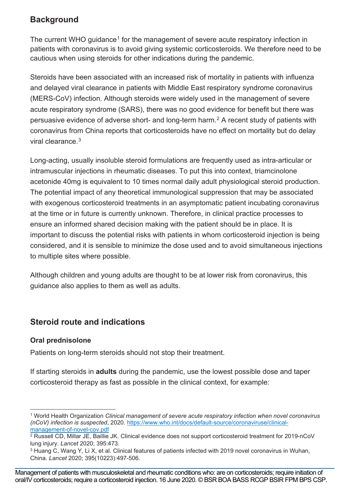# **Background**

The current WHO quidance<sup>[1](#page-2-0)</sup> for the management of severe acute respiratory infection in patients with coronavirus is to avoid giving systemic corticosteroids. We therefore need to be cautious when using steroids for other indications during the pandemic.

Steroids have been associated with an increased risk of mortality in patients with influenza and delayed viral clearance in patients with Middle East respiratory syndrome coronavirus (MERS-CoV) infection. Although steroids were widely used in the management of severe acute respiratory syndrome (SARS), there was no good evidence for benefit but there was persuasive evidence of adverse short- and long-term harm.[2](#page-2-1) A recent study of patients with coronavirus from China reports that corticosteroids have no effect on mortality but do delay viral clearance.[3](#page-2-2)

Long-acting, usually insoluble steroid formulations are frequently used as intra-articular or intramuscular injections in rheumatic diseases. To put this into context, triamcinolone acetonide 40mg is equivalent to 10 times normal daily adult physiological steroid production. The potential impact of any theoretical immunological suppression that may be associated with exogenous corticosteroid treatments in an asymptomatic patient incubating coronavirus at the time or in future is currently unknown. Therefore, in clinical practice processes to ensure an informed shared decision making with the patient should be in place. It is important to discuss the potential risks with patients in whom corticosteroid injection is being considered, and it is sensible to minimize the dose used and to avoid simultaneous injections to multiple sites where possible.

Although children and young adults are thought to be at lower risk from coronavirus, this guidance also applies to them as well as adults.

# **Steroid route and indications**

## **Oral prednisolone**

Patients on long-term steroids should not stop their treatment.

If starting steroids in **adults** during the pandemic, use the lowest possible dose and taper corticosteroid therapy as fast as possible in the clinical context, for example:

<span id="page-2-0"></span><sup>1</sup> World Health Organization *Clinical management of severe acute respiratory infection when novel coronavirus (nCoV) infection is suspected*, 2020*.* [https://www.who.int/docs/default-source/coronaviruse/clinical](about:blank)[management-of-novel-cov.pdf](about:blank)

<span id="page-2-1"></span><sup>2</sup> Russell CD, Millar JE, Baillie JK. Clinical evidence does not support corticosteroid treatment for 2019-nCoV lung injury. *Lancet* 2020; 395:473*.*

<sup>3</sup> Huang C, Wang Y, Li X, et al. Clinical features of patients infected with 2019 novel coronavirus in Wuhan, China. *Lancet* 2020; 395(10223):497-506.

<span id="page-2-2"></span>Management of patients with musculoskeletal and rheumatic conditions who: are on corticosteroids; require initiation of oral/IV corticosteroids; require a corticosteroid injection. 16 June 2020. © BSR BOA BASS RCGP BSIR FPM BPS CSP.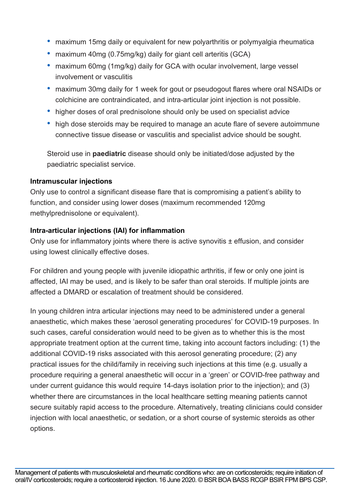- maximum 15mg daily or equivalent for new polyarthritis or polymyalgia rheumatica
- maximum 40mg (0.75mg/kg) daily for giant cell arteritis (GCA)
- maximum 60mg (1mg/kg) daily for GCA with ocular involvement, large vessel involvement or vasculitis
- maximum 30mg daily for 1 week for gout or pseudogout flares where oral NSAIDs or colchicine are contraindicated, and intra-articular joint injection is not possible.
- higher doses of oral prednisolone should only be used on specialist advice
- high dose steroids may be required to manage an acute flare of severe autoimmune connective tissue disease or vasculitis and specialist advice should be sought.

Steroid use in **paediatric** disease should only be initiated/dose adjusted by the paediatric specialist service.

### **Intramuscular injections**

Only use to control a significant disease flare that is compromising a patient's ability to function, and consider using lower doses (maximum recommended 120mg methylprednisolone or equivalent).

## **Intra-articular injections (IAI) for inflammation**

Only use for inflammatory joints where there is active synovitis  $\pm$  effusion, and consider using lowest clinically effective doses.

For children and young people with juvenile idiopathic arthritis, if few or only one joint is affected, IAI may be used, and is likely to be safer than oral steroids. If multiple joints are affected a DMARD or escalation of treatment should be considered.

In young children intra articular injections may need to be administered under a general anaesthetic, which makes these 'aerosol generating procedures' for COVID-19 purposes. In such cases, careful consideration would need to be given as to whether this is the most appropriate treatment option at the current time, taking into account factors including: (1) the additional COVID-19 risks associated with this aerosol generating procedure; (2) any practical issues for the child/family in receiving such injections at this time (e.g. usually a procedure requiring a general anaesthetic will occur in a 'green' or COVID-free pathway and under current guidance this would require 14-days isolation prior to the injection); and (3) whether there are circumstances in the local healthcare setting meaning patients cannot secure suitably rapid access to the procedure. Alternatively, treating clinicians could consider injection with local anaesthetic, or sedation, or a short course of systemic steroids as other options.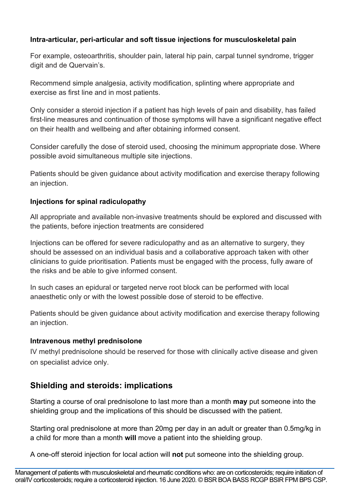## **Intra-articular, peri-articular and soft tissue injections for musculoskeletal pain**

For example, osteoarthritis, shoulder pain, lateral hip pain, carpal tunnel syndrome, trigger digit and de Quervain's.

Recommend simple analgesia, activity modification, splinting where appropriate and exercise as first line and in most patients.

Only consider a steroid injection if a patient has high levels of pain and disability, has failed first-line measures and continuation of those symptoms will have a significant negative effect on their health and wellbeing and after obtaining informed consent.

Consider carefully the dose of steroid used, choosing the minimum appropriate dose. Where possible avoid simultaneous multiple site injections.

Patients should be given guidance about activity modification and exercise therapy following an injection.

### **Injections for spinal radiculopathy**

All appropriate and available non-invasive treatments should be explored and discussed with the patients, before injection treatments are considered

Injections can be offered for severe radiculopathy and as an alternative to surgery, they should be assessed on an individual basis and a collaborative approach taken with other clinicians to guide prioritisation. Patients must be engaged with the process, fully aware of the risks and be able to give informed consent.

In such cases an epidural or targeted nerve root block can be performed with local anaesthetic only or with the lowest possible dose of steroid to be effective.

Patients should be given guidance about activity modification and exercise therapy following an injection.

#### **Intravenous methyl prednisolone**

IV methyl prednisolone should be reserved for those with clinically active disease and given on specialist advice only.

# **Shielding and steroids: implications**

Starting a course of oral prednisolone to last more than a month **may** put someone into the shielding group and the implications of this should be discussed with the patient.

Starting oral prednisolone at more than 20mg per day in an adult or greater than 0.5mg/kg in a child for more than a month **will** move a patient into the shielding group.

A one-off steroid injection for local action will **not** put someone into the shielding group.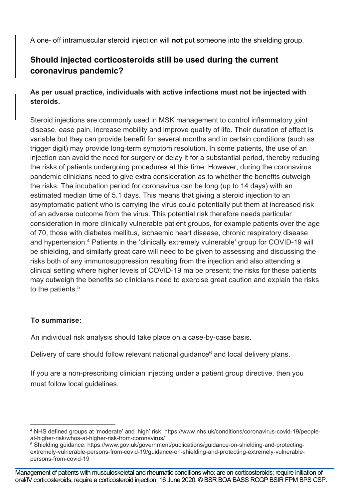A one- off intramuscular steroid injection will **not** put someone into the shielding group.

# **Should injected corticosteroids still be used during the current coronavirus pandemic?**

## **As per usual practice, individuals with active infections must not be injected with steroids.**

Steroid injections are commonly used in MSK management to control inflammatory joint disease, ease pain, increase mobility and improve quality of life. Their duration of effect is variable but they can provide benefit for several months and in certain conditions (such as trigger digit) may provide long-term symptom resolution. In some patients, the use of an injection can avoid the need for surgery or delay it for a substantial period, thereby reducing the risks of patients undergoing procedures at this time. However, during the coronavirus pandemic clinicians need to give extra consideration as to whether the benefits outweigh the risks. The incubation period for coronavirus can be long (up to 14 days) with an estimated median time of 5.1 days. This means that giving a steroid injection to an asymptomatic patient who is carrying the virus could potentially put them at increased risk of an adverse outcome from the virus. This potential risk therefore needs particular consideration in more clinically vulnerable patient groups, for example patients over the age of 70, those with diabetes mellitus, ischaemic heart disease, chronic respiratory disease and hypertension.<sup>[4](#page-5-0)</sup> Patients in the 'clinically extremely vulnerable' group for COVID-19 will be shielding, and similarly great care will need to be given to assessing and discussing the risks both of any immunosuppression resulting from the injection and also attending a clinical setting where higher levels of COVID-19 ma be present; the risks for these patients may outweigh the benefits so clinicians need to exercise great caution and explain the risks to the patients. [5](#page-5-1)

### **To summarise:**

An individual risk analysis should take place on a case-by-case basis.

Delivery of care should follow relevant national guidance<sup>6</sup> and local delivery plans.

If you are a non-prescribing clinician injecting under a patient group directive, then you must follow local guidelines.

<span id="page-5-0"></span><sup>4</sup> NHS defined groups at 'moderate' and 'high' risk: https://www.nhs.uk/conditions/coronavirus-covid-19/peopleat-higher-risk/whos-at-higher-risk-from-coronavirus/

<span id="page-5-1"></span><sup>5</sup> Shielding guidance: https://www.gov.uk/government/publications/guidance-on-shielding-and-protectingextremely-vulnerable-persons-from-covid-19/guidance-on-shielding-and-protecting-extremely-vulnerablepersons-from-covid-19